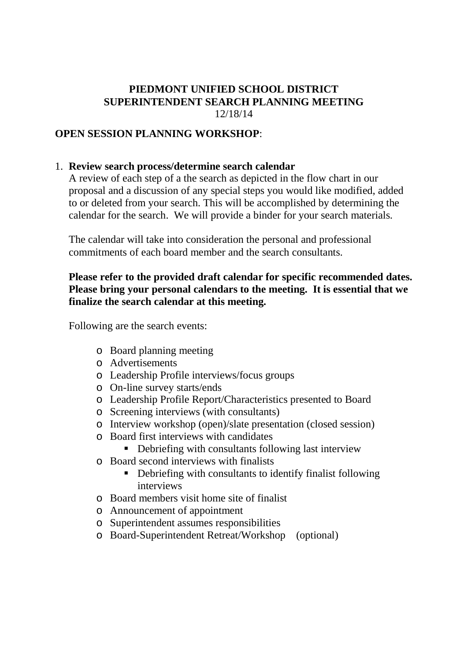#### **PIEDMONT UNIFIED SCHOOL DISTRICT SUPERINTENDENT SEARCH PLANNING MEETING** 12/18/14

## **OPEN SESSION PLANNING WORKSHOP**:

## 1. **Review search process/determine search calendar**

A review of each step of a the search as depicted in the flow chart in our proposal and a discussion of any special steps you would like modified, added to or deleted from your search. This will be accomplished by determining the calendar for the search. We will provide a binder for your search materials.

The calendar will take into consideration the personal and professional commitments of each board member and the search consultants.

#### **Please refer to the provided draft calendar for specific recommended dates. Please bring your personal calendars to the meeting. It is essential that we finalize the search calendar at this meeting.**

Following are the search events:

- o Board planning meeting
- o Advertisements
- o Leadership Profile interviews/focus groups
- o On-line survey starts/ends
- o Leadership Profile Report/Characteristics presented to Board
- o Screening interviews (with consultants)
- o Interview workshop (open)/slate presentation (closed session)
- o Board first interviews with candidates
	- Debriefing with consultants following last interview
- o Board second interviews with finalists
	- Debriefing with consultants to identify finalist following interviews
- o Board members visit home site of finalist
- o Announcement of appointment
- o Superintendent assumes responsibilities
- o Board-Superintendent Retreat/Workshop (optional)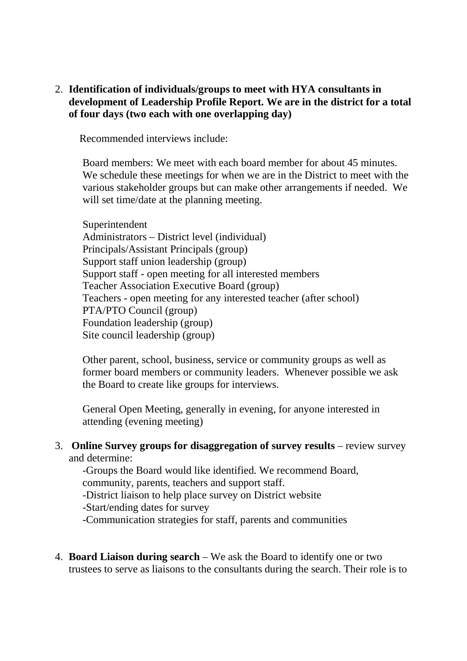2. **Identification of individuals/groups to meet with HYA consultants in development of Leadership Profile Report. We are in the district for a total of four days (two each with one overlapping day)**

Recommended interviews include:

Board members: We meet with each board member for about 45 minutes. We schedule these meetings for when we are in the District to meet with the various stakeholder groups but can make other arrangements if needed. We will set time/date at the planning meeting.

Superintendent Administrators – District level (individual) Principals/Assistant Principals (group) Support staff union leadership (group) Support staff - open meeting for all interested members Teacher Association Executive Board (group) Teachers - open meeting for any interested teacher (after school) PTA/PTO Council (group) Foundation leadership (group) Site council leadership (group)

Other parent, school, business, service or community groups as well as former board members or community leaders. Whenever possible we ask the Board to create like groups for interviews.

General Open Meeting, generally in evening, for anyone interested in attending (evening meeting)

3. **Online Survey groups for disaggregation of survey results** – review survey and determine:

-Groups the Board would like identified. We recommend Board, community, parents, teachers and support staff.

-District liaison to help place survey on District website

-Start/ending dates for survey

-Communication strategies for staff, parents and communities

4. **Board Liaison during search** – We ask the Board to identify one or two trustees to serve as liaisons to the consultants during the search. Their role is to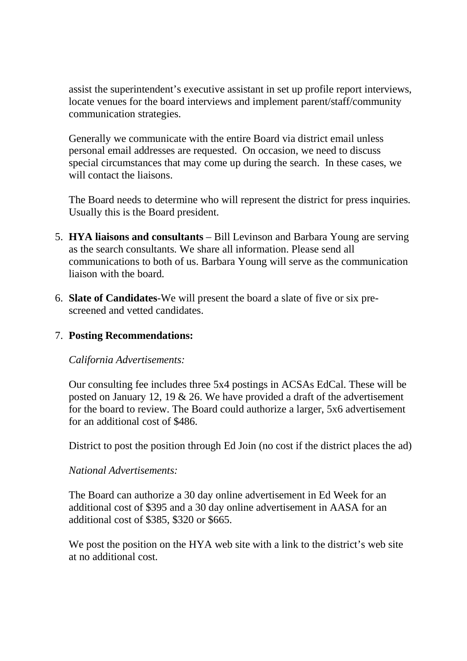assist the superintendent's executive assistant in set up profile report interviews, locate venues for the board interviews and implement parent/staff/community communication strategies.

Generally we communicate with the entire Board via district email unless personal email addresses are requested. On occasion, we need to discuss special circumstances that may come up during the search. In these cases, we will contact the liaisons.

The Board needs to determine who will represent the district for press inquiries. Usually this is the Board president.

- 5. **HYA liaisons and consultants** Bill Levinson and Barbara Young are serving as the search consultants. We share all information. Please send all communications to both of us. Barbara Young will serve as the communication liaison with the board.
- 6. **Slate of Candidates**-We will present the board a slate of five or six prescreened and vetted candidates.

## 7. **Posting Recommendations:**

## *California Advertisements:*

Our consulting fee includes three 5x4 postings in ACSAs EdCal. These will be posted on January 12, 19 & 26. We have provided a draft of the advertisement for the board to review. The Board could authorize a larger, 5x6 advertisement for an additional cost of \$486.

District to post the position through Ed Join (no cost if the district places the ad)

## *National Advertisements:*

The Board can authorize a 30 day online advertisement in Ed Week for an additional cost of \$395 and a 30 day online advertisement in AASA for an additional cost of \$385, \$320 or \$665.

We post the position on the HYA web site with a link to the district's web site at no additional cost.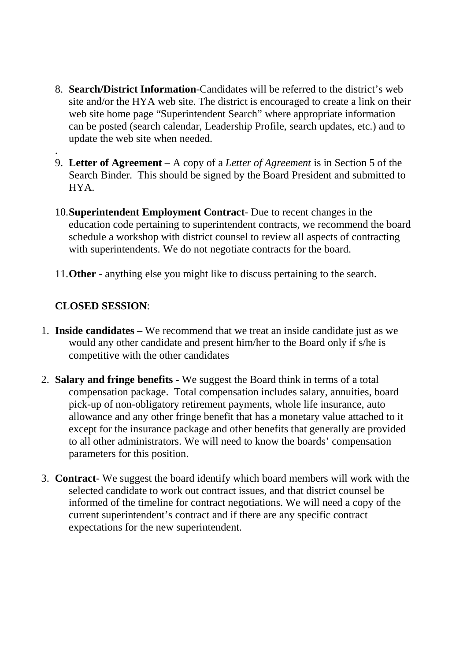- 8. **Search/District Information**-Candidates will be referred to the district's web site and/or the HYA web site. The district is encouraged to create a link on their web site home page "Superintendent Search" where appropriate information can be posted (search calendar, Leadership Profile, search updates, etc.) and to update the web site when needed.
- . 9. **Letter of Agreement** – A copy of a *Letter of Agreement* is in Section 5 of the Search Binder. This should be signed by the Board President and submitted to HYA.
- 10.**Superintendent Employment Contract** Due to recent changes in the education code pertaining to superintendent contracts, we recommend the board schedule a workshop with district counsel to review all aspects of contracting with superintendents. We do not negotiate contracts for the board.
- 11.**Other** anything else you might like to discuss pertaining to the search.

## **CLOSED SESSION**:

- 1. **Inside candidates** We recommend that we treat an inside candidate just as we would any other candidate and present him/her to the Board only if s/he is competitive with the other candidates
- 2. **Salary and fringe benefits** We suggest the Board think in terms of a total compensation package. Total compensation includes salary, annuities, board pick-up of non-obligatory retirement payments, whole life insurance, auto allowance and any other fringe benefit that has a monetary value attached to it except for the insurance package and other benefits that generally are provided to all other administrators. We will need to know the boards' compensation parameters for this position.
- 3. **Contract** We suggest the board identify which board members will work with the selected candidate to work out contract issues, and that district counsel be informed of the timeline for contract negotiations. We will need a copy of the current superintendent's contract and if there are any specific contract expectations for the new superintendent.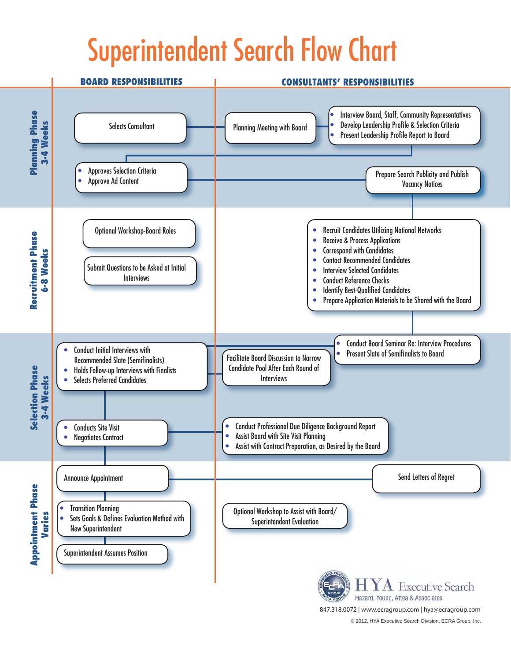# Superintendent Search Flow Chart



© 2012, HYA Executive Search Division, ECRA Group, Inc. 847.318.0072 | www.ecragroup.com | hya@ecragroup.com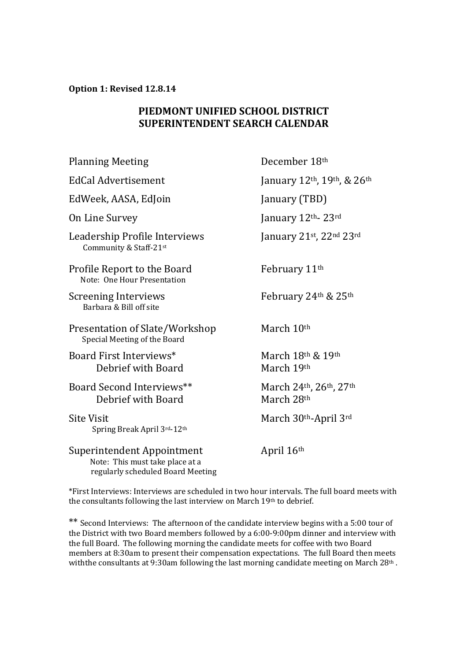**Option 1: Revised 12.8.14**

## **PIEDMONT UNIFIED SCHOOL DISTRICT SUPERINTENDENT SEARCH CALENDAR**

| <b>Planning Meeting</b>                                                                            | December 18th                               |
|----------------------------------------------------------------------------------------------------|---------------------------------------------|
| EdCal Advertisement                                                                                | January $12^{th}$ , $19^{th}$ , & $26^{th}$ |
| EdWeek, AASA, EdJoin                                                                               | January (TBD)                               |
| On Line Survey                                                                                     | January 12th 23rd                           |
| Leadership Profile Interviews<br>Community & Staff-21st                                            | January 21st, 22nd 23rd                     |
| Profile Report to the Board<br>Note: One Hour Presentation                                         | February 11 <sup>th</sup>                   |
| <b>Screening Interviews</b><br>Barbara & Bill off site                                             | February 24th & 25th                        |
| Presentation of Slate/Workshop<br>Special Meeting of the Board                                     | March 10th                                  |
| Board First Interviews*<br>Debrief with Board                                                      | March $18th$ & $19th$<br>March 19th         |
| Board Second Interviews**<br>Debrief with Board                                                    | March 24th, 26th, 27th<br>March 28th        |
| <b>Site Visit</b><br>Spring Break April 3rd-12th                                                   | March 30th-April 3rd                        |
| Superintendent Appointment<br>Note: This must take place at a<br>regularly scheduled Board Meeting | April 16 <sup>th</sup>                      |

\*First Interviews: Interviews are scheduled in two hour intervals. The full board meets with the consultants following the last interview on March 19th to debrief.

\*\* Second Interviews: The afternoon of the candidate interview begins with a 5:00 tour of the District with two Board members followed by a 6:00-9:00pm dinner and interview with the full Board. The following morning the candidate meets for coffee with two Board members at 8:30am to present their compensation expectations. The full Board then meets with the consultants at 9:30am following the last morning candidate meeting on March  $28<sup>th</sup>$ .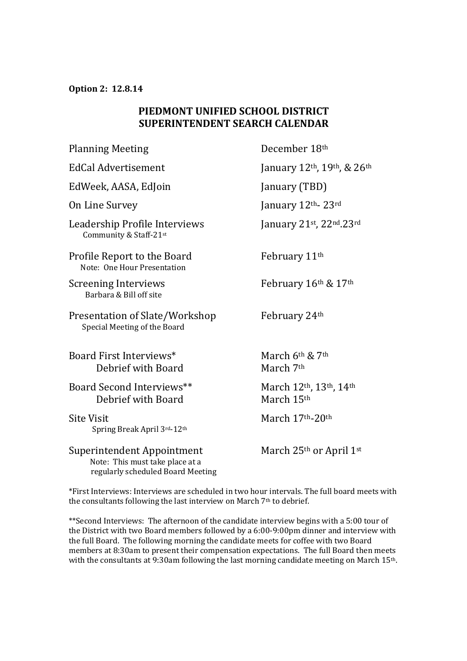**Option 2: 12.8.14**

## **PIEDMONT UNIFIED SCHOOL DISTRICT SUPERINTENDENT SEARCH CALENDAR**

| <b>Planning Meeting</b>                                                                            | December 18th                        |
|----------------------------------------------------------------------------------------------------|--------------------------------------|
| <b>EdCal Advertisement</b>                                                                         | January 12th, 19th, & 26th           |
| EdWeek, AASA, EdJoin                                                                               | January (TBD)                        |
| On Line Survey                                                                                     | January 12th- 23rd                   |
| Leadership Profile Interviews<br>Community & Staff-21st                                            | January 21st, 22nd.23rd              |
| Profile Report to the Board<br>Note: One Hour Presentation                                         | February 11 <sup>th</sup>            |
| <b>Screening Interviews</b><br>Barbara & Bill off site                                             | February 16th & 17th                 |
| Presentation of Slate/Workshop<br>Special Meeting of the Board                                     | February 24th                        |
| Board First Interviews*<br>Debrief with Board                                                      | March $6th$ & $7th$<br>March 7th     |
| Board Second Interviews**<br>Debrief with Board                                                    | March 12th, 13th, 14th<br>March 15th |
| <b>Site Visit</b><br>Spring Break April 3rd-12th                                                   | March 17th-20th                      |
| Superintendent Appointment<br>Note: This must take place at a<br>regularly scheduled Board Meeting | March $25th$ or April $1st$          |

\*First Interviews: Interviews are scheduled in two hour intervals. The full board meets with the consultants following the last interview on March 7<sup>th</sup> to debrief.

\*\*Second Interviews: The afternoon of the candidate interview begins with a 5:00 tour of the District with two Board members followed by a 6:00-9:00pm dinner and interview with the full Board. The following morning the candidate meets for coffee with two Board members at 8:30am to present their compensation expectations. The full Board then meets with the consultants at 9:30am following the last morning candidate meeting on March 15th.